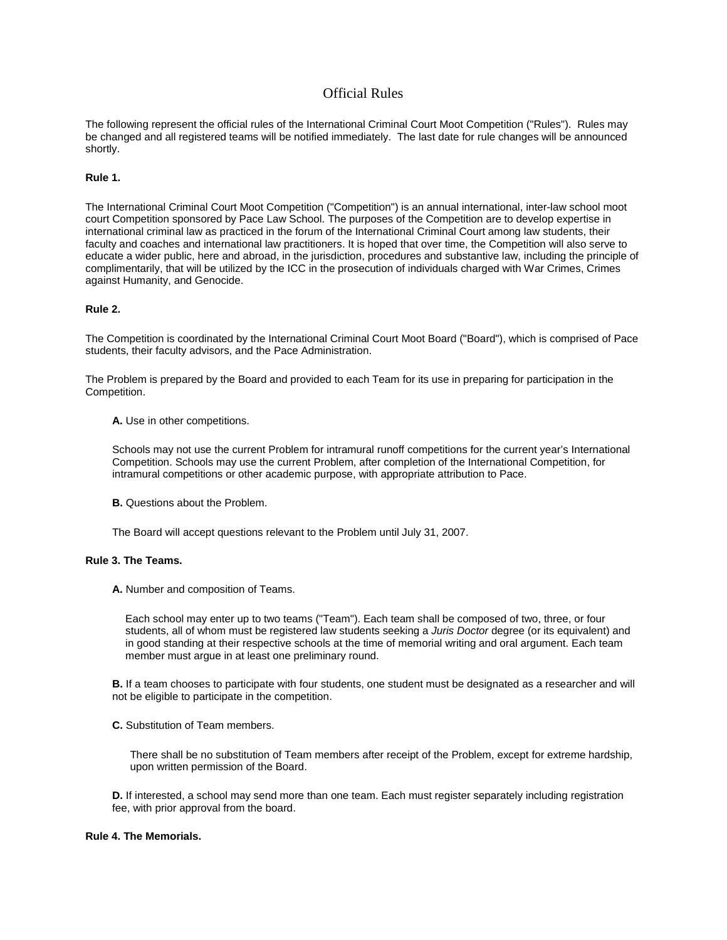# Official Rules

The following represent the official rules of the International Criminal Court Moot Competition ("Rules"). Rules may be changed and all registered teams will be notified immediately. The last date for rule changes will be announced shortly.

# **Rule 1.**

The International Criminal Court Moot Competition ("Competition") is an annual international, inter-law school moot court Competition sponsored by Pace Law School. The purposes of the Competition are to develop expertise in international criminal law as practiced in the forum of the International Criminal Court among law students, their faculty and coaches and international law practitioners. It is hoped that over time, the Competition will also serve to educate a wider public, here and abroad, in the jurisdiction, procedures and substantive law, including the principle of complimentarily, that will be utilized by the ICC in the prosecution of individuals charged with War Crimes, Crimes against Humanity, and Genocide.

## **Rule 2.**

The Competition is coordinated by the International Criminal Court Moot Board ("Board"), which is comprised of Pace students, their faculty advisors, and the Pace Administration.

The Problem is prepared by the Board and provided to each Team for its use in preparing for participation in the Competition.

**A.** Use in other competitions.

Schools may not use the current Problem for intramural runoff competitions for the current year's International Competition. Schools may use the current Problem, after completion of the International Competition, for intramural competitions or other academic purpose, with appropriate attribution to Pace.

**B.** Questions about the Problem.

The Board will accept questions relevant to the Problem until July 31, 2007.

# **Rule 3. The Teams.**

**A.** Number and composition of Teams.

Each school may enter up to two teams ("Team"). Each team shall be composed of two, three, or four students, all of whom must be registered law students seeking a *Juris Doctor* degree (or its equivalent) and in good standing at their respective schools at the time of memorial writing and oral argument. Each team member must argue in at least one preliminary round.

**B.** If a team chooses to participate with four students, one student must be designated as a researcher and will not be eligible to participate in the competition.

**C.** Substitution of Team members.

There shall be no substitution of Team members after receipt of the Problem, except for extreme hardship, upon written permission of the Board.

**D.** If interested, a school may send more than one team. Each must register separately including registration fee, with prior approval from the board.

## **Rule 4. The Memorials.**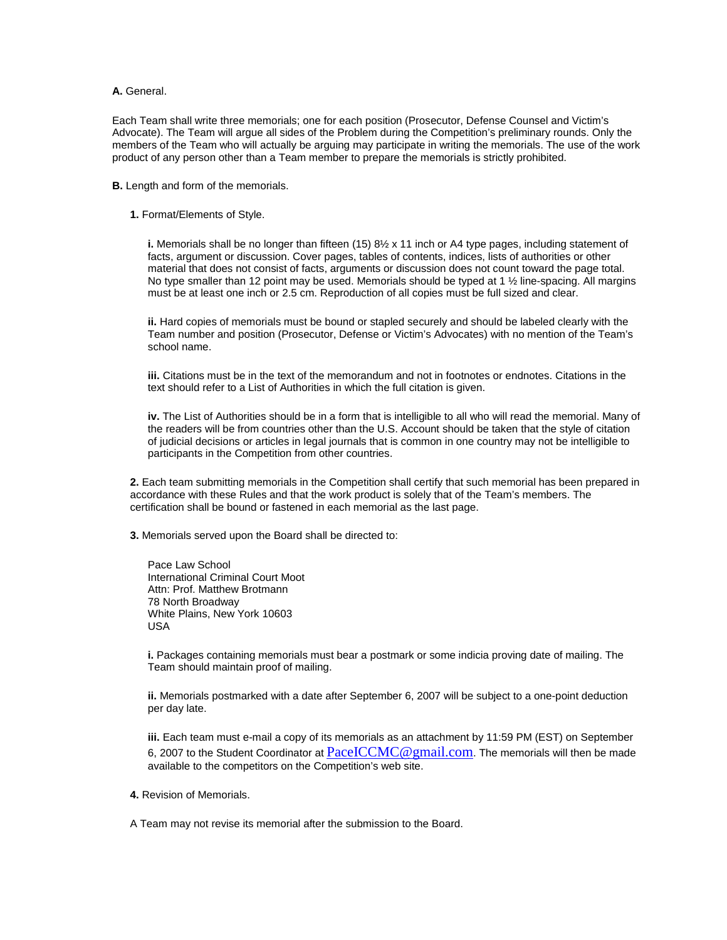# **A.** General.

Each Team shall write three memorials; one for each position (Prosecutor, Defense Counsel and Victim's Advocate). The Team will argue all sides of the Problem during the Competition's preliminary rounds. Only the members of the Team who will actually be arguing may participate in writing the memorials. The use of the work product of any person other than a Team member to prepare the memorials is strictly prohibited.

**B.** Length and form of the memorials.

## **1.** Format/Elements of Style.

**i.** Memorials shall be no longer than fifteen (15) 8½ x 11 inch or A4 type pages, including statement of facts, argument or discussion. Cover pages, tables of contents, indices, lists of authorities or other material that does not consist of facts, arguments or discussion does not count toward the page total. No type smaller than 12 point may be used. Memorials should be typed at 1 % line-spacing. All margins must be at least one inch or 2.5 cm. Reproduction of all copies must be full sized and clear.

**ii.** Hard copies of memorials must be bound or stapled securely and should be labeled clearly with the Team number and position (Prosecutor, Defense or Victim's Advocates) with no mention of the Team's school name.

**iii.** Citations must be in the text of the memorandum and not in footnotes or endnotes. Citations in the text should refer to a List of Authorities in which the full citation is given.

**iv.** The List of Authorities should be in a form that is intelligible to all who will read the memorial. Many of the readers will be from countries other than the U.S. Account should be taken that the style of citation of judicial decisions or articles in legal journals that is common in one country may not be intelligible to participants in the Competition from other countries.

**2.** Each team submitting memorials in the Competition shall certify that such memorial has been prepared in accordance with these Rules and that the work product is solely that of the Team's members. The certification shall be bound or fastened in each memorial as the last page.

**3.** Memorials served upon the Board shall be directed to:

Pace Law School International Criminal Court Moot Attn: Prof. Matthew Brotmann 78 North Broadway White Plains, New York 10603 USA

**i.** Packages containing memorials must bear a postmark or some indicia proving date of mailing. The Team should maintain proof of mailing.

**ii.** Memorials postmarked with a date after September 6, 2007 will be subject to a one-point deduction per day late.

**iii.** Each team must e-mail a copy of its memorials as an attachment by 11:59 PM (EST) on September 6, 2007 to the Student Coordinator at  $PaceICCMC@gmail.com$ . The memorials will then be made available to the competitors on the Competition's web site.

**4.** Revision of Memorials.

A Team may not revise its memorial after the submission to the Board.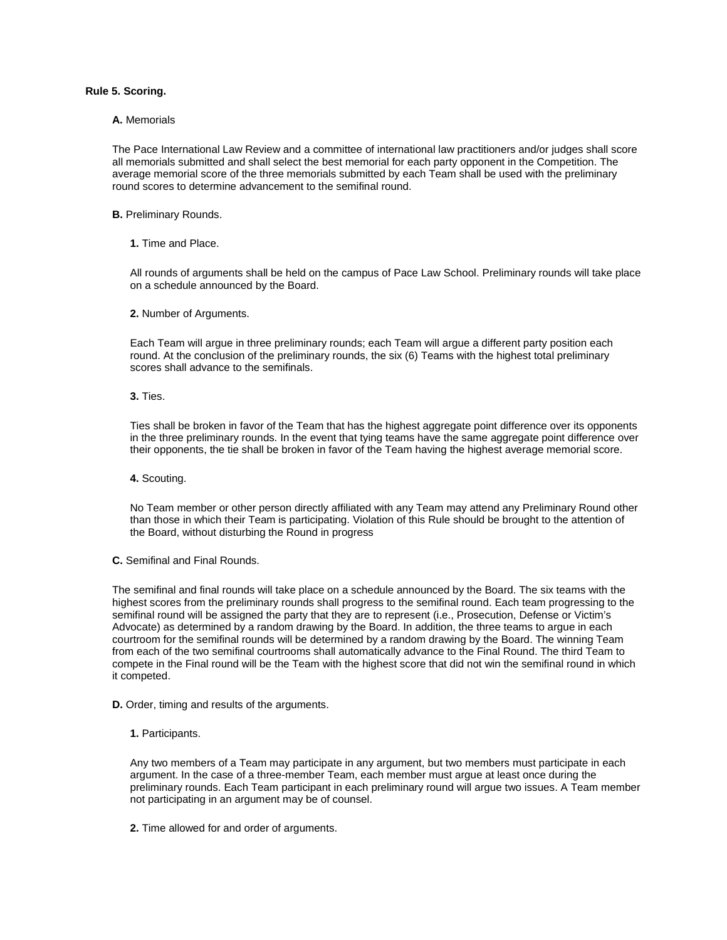# **Rule 5. Scoring.**

### **A.** Memorials

The Pace International Law Review and a committee of international law practitioners and/or judges shall score all memorials submitted and shall select the best memorial for each party opponent in the Competition. The average memorial score of the three memorials submitted by each Team shall be used with the preliminary round scores to determine advancement to the semifinal round.

## **B.** Preliminary Rounds.

**1.** Time and Place.

All rounds of arguments shall be held on the campus of Pace Law School. Preliminary rounds will take place on a schedule announced by the Board.

**2.** Number of Arguments.

Each Team will argue in three preliminary rounds; each Team will argue a different party position each round. At the conclusion of the preliminary rounds, the six (6) Teams with the highest total preliminary scores shall advance to the semifinals.

**3.** Ties.

Ties shall be broken in favor of the Team that has the highest aggregate point difference over its opponents in the three preliminary rounds. In the event that tying teams have the same aggregate point difference over their opponents, the tie shall be broken in favor of the Team having the highest average memorial score.

**4.** Scouting.

No Team member or other person directly affiliated with any Team may attend any Preliminary Round other than those in which their Team is participating. Violation of this Rule should be brought to the attention of the Board, without disturbing the Round in progress

**C.** Semifinal and Final Rounds.

The semifinal and final rounds will take place on a schedule announced by the Board. The six teams with the highest scores from the preliminary rounds shall progress to the semifinal round. Each team progressing to the semifinal round will be assigned the party that they are to represent (i.e., Prosecution, Defense or Victim's Advocate) as determined by a random drawing by the Board. In addition, the three teams to argue in each courtroom for the semifinal rounds will be determined by a random drawing by the Board. The winning Team from each of the two semifinal courtrooms shall automatically advance to the Final Round. The third Team to compete in the Final round will be the Team with the highest score that did not win the semifinal round in which it competed.

**D.** Order, timing and results of the arguments.

**1.** Participants.

Any two members of a Team may participate in any argument, but two members must participate in each argument. In the case of a three-member Team, each member must argue at least once during the preliminary rounds. Each Team participant in each preliminary round will argue two issues. A Team member not participating in an argument may be of counsel.

**2.** Time allowed for and order of arguments.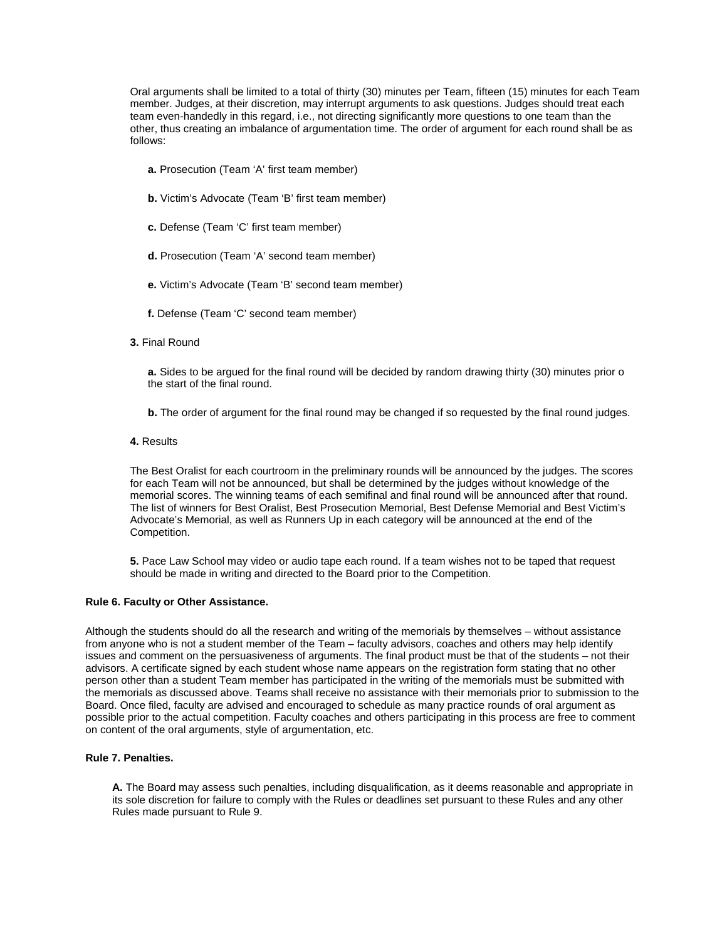Oral arguments shall be limited to a total of thirty (30) minutes per Team, fifteen (15) minutes for each Team member. Judges, at their discretion, may interrupt arguments to ask questions. Judges should treat each team even-handedly in this regard, i.e., not directing significantly more questions to one team than the other, thus creating an imbalance of argumentation time. The order of argument for each round shall be as follows:

- **a.** Prosecution (Team 'A' first team member)
- **b.** Victim's Advocate (Team 'B' first team member)
- **c.** Defense (Team 'C' first team member)
- **d.** Prosecution (Team 'A' second team member)
- **e.** Victim's Advocate (Team 'B' second team member)
- **f.** Defense (Team 'C' second team member)
- **3.** Final Round

**a.** Sides to be argued for the final round will be decided by random drawing thirty (30) minutes prior o the start of the final round.

**b.** The order of argument for the final round may be changed if so requested by the final round judges.

**4.** Results

The Best Oralist for each courtroom in the preliminary rounds will be announced by the judges. The scores for each Team will not be announced, but shall be determined by the judges without knowledge of the memorial scores. The winning teams of each semifinal and final round will be announced after that round. The list of winners for Best Oralist, Best Prosecution Memorial, Best Defense Memorial and Best Victim's Advocate's Memorial, as well as Runners Up in each category will be announced at the end of the Competition.

**5.** Pace Law School may video or audio tape each round. If a team wishes not to be taped that request should be made in writing and directed to the Board prior to the Competition.

## **Rule 6. Faculty or Other Assistance.**

Although the students should do all the research and writing of the memorials by themselves – without assistance from anyone who is not a student member of the Team – faculty advisors, coaches and others may help identify issues and comment on the persuasiveness of arguments. The final product must be that of the students – not their advisors. A certificate signed by each student whose name appears on the registration form stating that no other person other than a student Team member has participated in the writing of the memorials must be submitted with the memorials as discussed above. Teams shall receive no assistance with their memorials prior to submission to the Board. Once filed, faculty are advised and encouraged to schedule as many practice rounds of oral argument as possible prior to the actual competition. Faculty coaches and others participating in this process are free to comment on content of the oral arguments, style of argumentation, etc.

# **Rule 7. Penalties.**

**A.** The Board may assess such penalties, including disqualification, as it deems reasonable and appropriate in its sole discretion for failure to comply with the Rules or deadlines set pursuant to these Rules and any other Rules made pursuant to Rule 9.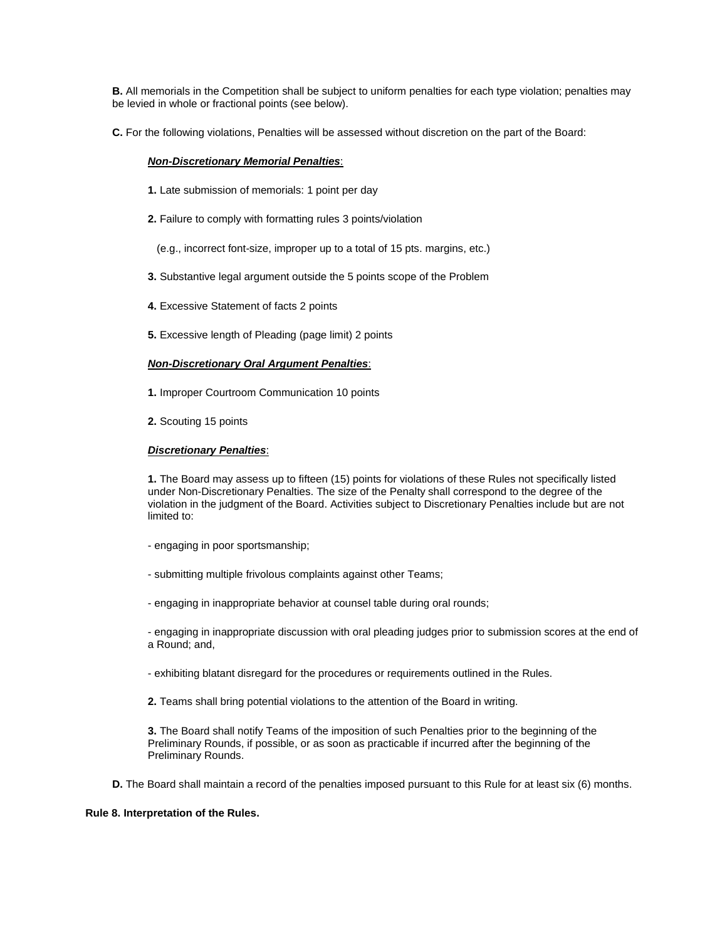**B.** All memorials in the Competition shall be subject to uniform penalties for each type violation; penalties may be levied in whole or fractional points (see below).

**C.** For the following violations, Penalties will be assessed without discretion on the part of the Board:

## *Non-Discretionary Memorial Penalties*:

- **1.** Late submission of memorials: 1 point per day
- **2.** Failure to comply with formatting rules 3 points/violation
	- (e.g., incorrect font-size, improper up to a total of 15 pts. margins, etc.)
- **3.** Substantive legal argument outside the 5 points scope of the Problem
- **4.** Excessive Statement of facts 2 points
- **5.** Excessive length of Pleading (page limit) 2 points

## *Non-Discretionary Oral Argument Penalties*:

- **1.** Improper Courtroom Communication 10 points
- **2.** Scouting 15 points

## *Discretionary Penalties*:

**1.** The Board may assess up to fifteen (15) points for violations of these Rules not specifically listed under Non-Discretionary Penalties. The size of the Penalty shall correspond to the degree of the violation in the judgment of the Board. Activities subject to Discretionary Penalties include but are not limited to:

- engaging in poor sportsmanship;
- submitting multiple frivolous complaints against other Teams;
- engaging in inappropriate behavior at counsel table during oral rounds;

- engaging in inappropriate discussion with oral pleading judges prior to submission scores at the end of a Round; and,

- exhibiting blatant disregard for the procedures or requirements outlined in the Rules.
- **2.** Teams shall bring potential violations to the attention of the Board in writing.

**3.** The Board shall notify Teams of the imposition of such Penalties prior to the beginning of the Preliminary Rounds, if possible, or as soon as practicable if incurred after the beginning of the Preliminary Rounds.

**D.** The Board shall maintain a record of the penalties imposed pursuant to this Rule for at least six (6) months.

## **Rule 8. Interpretation of the Rules.**